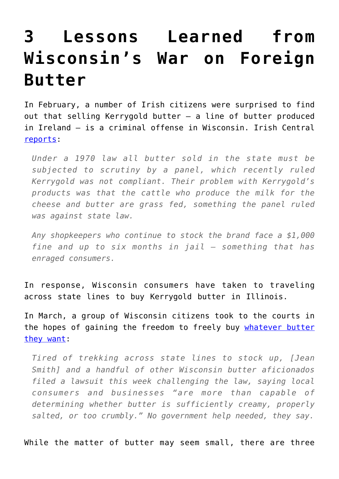## **[3 Lessons Learned from](https://intellectualtakeout.org/2017/04/3-lessons-learned-from-wisconsins-war-on-foreign-butter/) [Wisconsin's War on Foreign](https://intellectualtakeout.org/2017/04/3-lessons-learned-from-wisconsins-war-on-foreign-butter/) [Butter](https://intellectualtakeout.org/2017/04/3-lessons-learned-from-wisconsins-war-on-foreign-butter/)**

In February, a number of Irish citizens were surprised to find out that selling Kerrygold butter — a line of butter produced in Ireland — is a criminal offense in Wisconsin. Irish Central [reports](http://www.irishcentral.com/culture/food-drink/why-selling-irish-kerrygold-butter-is-now-a-criminal-offense-in-this-us-state):

*Under a 1970 law all butter sold in the state must be subjected to scrutiny by a panel, which recently ruled Kerrygold was not compliant. Their problem with Kerrygold's products was that the cattle who produce the milk for the cheese and butter are grass fed, something the panel ruled was against state law.*

*Any shopkeepers who continue to stock the brand face a \$1,000 fine and up to six months in jail — something that has enraged consumers.*

In response, Wisconsin consumers have taken to traveling across state lines to buy Kerrygold butter in Illinois.

In March, a group of Wisconsin citizens took to the courts in the hopes of gaining the freedom to freely buy [whatever butter](http://www.twincities.com/2017/03/17/wisconsin-irish-butter-ban-lawsuit/) [they want:](http://www.twincities.com/2017/03/17/wisconsin-irish-butter-ban-lawsuit/)

*Tired of trekking across state lines to stock up, [Jean Smith] and a handful of other Wisconsin butter aficionados filed a lawsuit this week challenging the law, saying local consumers and businesses "are more than capable of determining whether butter is sufficiently creamy, properly salted, or too crumbly." No government help needed, they say.*

While the matter of butter may seem small, there are three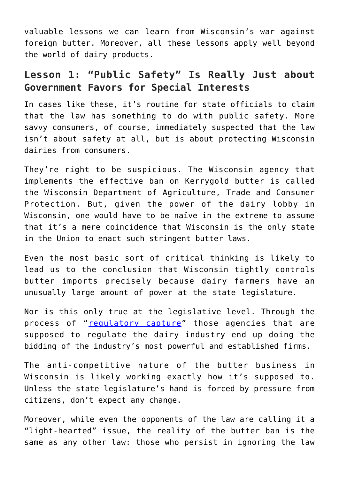valuable lessons we can learn from Wisconsin's war against foreign butter. Moreover, all these lessons apply well beyond the world of dairy products.

## **Lesson 1: "Public Safety" Is Really Just about Government Favors for Special Interests**

In cases like these, it's routine for state officials to claim that the law has something to do with public safety. More savvy consumers, of course, immediately suspected that the law isn't about safety at all, but is about protecting Wisconsin dairies from consumers.

They're right to be suspicious. The Wisconsin agency that implements the effective ban on Kerrygold butter is called the Wisconsin Department of Agriculture, Trade and Consumer Protection. But, given the power of the dairy lobby in Wisconsin, one would have to be naïve in the extreme to assume that it's a mere coincidence that Wisconsin is the only state in the Union to enact such stringent butter laws.

Even the most basic sort of critical thinking is likely to lead us to the conclusion that Wisconsin tightly controls butter imports precisely because dairy farmers have an unusually large amount of power at the state legislature.

Nor is this only true at the legislative level. Through the process of "[regulatory capture"](https://mises.org/library/net-neutrality-scam) those agencies that are supposed to regulate the dairy industry end up doing the bidding of the industry's most powerful and established firms.

The anti-competitive nature of the butter business in Wisconsin is likely working exactly how it's supposed to. Unless the state legislature's hand is forced by pressure from citizens, don't expect any change.

Moreover, while even the opponents of the law are calling it a "light-hearted" issue, the reality of the butter ban is the same as any other law: those who persist in ignoring the law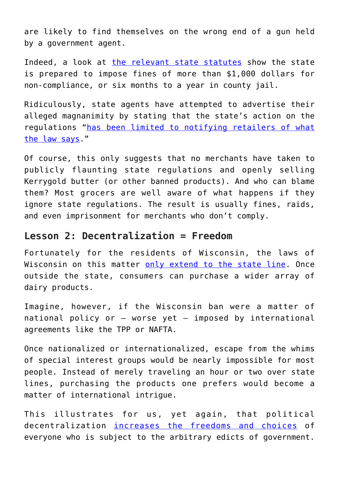are likely to find themselves on the wrong end of a gun held by a government agent.

Indeed, a look at [the relevant state statutes](https://docs.legis.wisconsin.gov/statutes/statutes/97/II/18) show the state is prepared to impose fines of more than \$1,000 dollars for non-compliance, or six months to a year in county jail.

Ridiculously, state agents have attempted to advertise their alleged magnanimity by stating that the state's action on the regulations ["has been limited to notifying retailers of what](http://www.twincities.com/2017/03/17/wisconsin-irish-butter-ban-lawsuit/) [the law says](http://www.twincities.com/2017/03/17/wisconsin-irish-butter-ban-lawsuit/)."

Of course, this only suggests that no merchants have taken to publicly flaunting state regulations and openly selling Kerrygold butter (or other banned products). And who can blame them? Most grocers are well aware of what happens if they ignore state regulations. The result is usually fines, raids, and even imprisonment for merchants who don't comply.

## **Lesson 2: Decentralization = Freedom**

Fortunately for the residents of Wisconsin, the laws of Wisconsin on this matter [only extend to the state line.](https://mises.org/blog/we-need-more-borders-and-more-states) Once outside the state, consumers can purchase a wider array of dairy products.

Imagine, however, if the Wisconsin ban were a matter of national policy or — worse yet — imposed by international agreements like the TPP or NAFTA.

Once nationalized or internationalized, escape from the whims of special interest groups would be nearly impossible for most people. Instead of merely traveling an hour or two over state lines, purchasing the products one prefers would become a matter of international intrigue.

This illustrates for us, yet again, that political decentralization [increases the freedoms and choices](https://mises.org/blog/no-country-should-be-bigger) of everyone who is subject to the arbitrary edicts of government.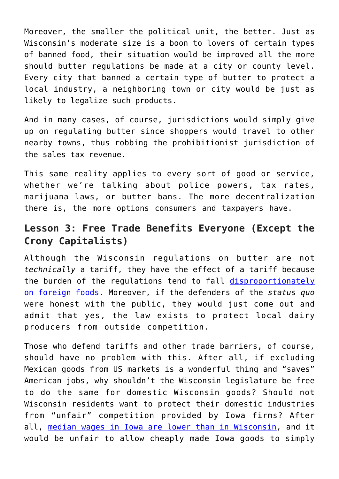Moreover, the smaller the political unit, the better. Just as Wisconsin's moderate size is a boon to lovers of certain types of banned food, their situation would be improved all the more should butter regulations be made at a city or county level. Every city that banned a certain type of butter to protect a local industry, a neighboring town or city would be just as likely to legalize such products.

And in many cases, of course, jurisdictions would simply give up on regulating butter since shoppers would travel to other nearby towns, thus robbing the prohibitionist jurisdiction of the sales tax revenue.

This same reality applies to every sort of good or service, whether we're talking about police powers, tax rates, marijuana laws, or butter bans. The more decentralization there is, the more options consumers and taxpayers have.

## **Lesson 3: Free Trade Benefits Everyone (Except the Crony Capitalists)**

Although the Wisconsin regulations on butter are not *technically* a tariff, they have the effect of a tariff because the burden of the regulations tend to fall [disproportionately](https://doorcountypulse.com/price-report-wisconsins-kerrygold-butter-ban/) [on foreign foods](https://doorcountypulse.com/price-report-wisconsins-kerrygold-butter-ban/). Moreover, if the defenders of the *status quo* were honest with the public, they would just come out and admit that yes, the law exists to protect local dairy producers from outside competition.

Those who defend tariffs and other trade barriers, of course, should have no problem with this. After all, if excluding Mexican goods from US markets is a wonderful thing and "saves" American jobs, why shouldn't the Wisconsin legislature be free to do the same for domestic Wisconsin goods? Should not Wisconsin residents want to protect their domestic industries from "unfair" competition provided by Iowa firms? After all, [median wages in Iowa are lower than in Wisconsin,](https://en.wikipedia.org/wiki/List_of_U.S._states_by_income) and it would be unfair to allow cheaply made Iowa goods to simply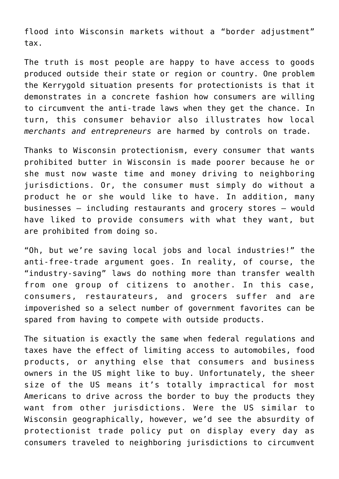flood into Wisconsin markets without a "border adjustment" tax.

The truth is most people are happy to have access to goods produced outside their state or region or country. One problem the Kerrygold situation presents for protectionists is that it demonstrates in a concrete fashion how consumers are willing to circumvent the anti-trade laws when they get the chance. In turn, this consumer behavior also illustrates how local *merchants and entrepreneurs* are harmed by controls on trade.

Thanks to Wisconsin protectionism, every consumer that wants prohibited butter in Wisconsin is made poorer because he or she must now waste time and money driving to neighboring jurisdictions. Or, the consumer must simply do without a product he or she would like to have. In addition, many businesses — including restaurants and grocery stores — would have liked to provide consumers with what they want, but are prohibited from doing so.

"Oh, but we're saving local jobs and local industries!" the anti-free-trade argument goes. In reality, of course, the "industry-saving" laws do nothing more than transfer wealth from one group of citizens to another. In this case, consumers, restaurateurs, and grocers suffer and are impoverished so a select number of government favorites can be spared from having to compete with outside products.

The situation is exactly the same when federal regulations and taxes have the effect of limiting access to automobiles, food products, or anything else that consumers and business owners in the US might like to buy. Unfortunately, the sheer size of the US means it's totally impractical for most Americans to drive across the border to buy the products they want from other jurisdictions. Were the US similar to Wisconsin geographically, however, we'd see the absurdity of protectionist trade policy put on display every day as consumers traveled to neighboring jurisdictions to circumvent